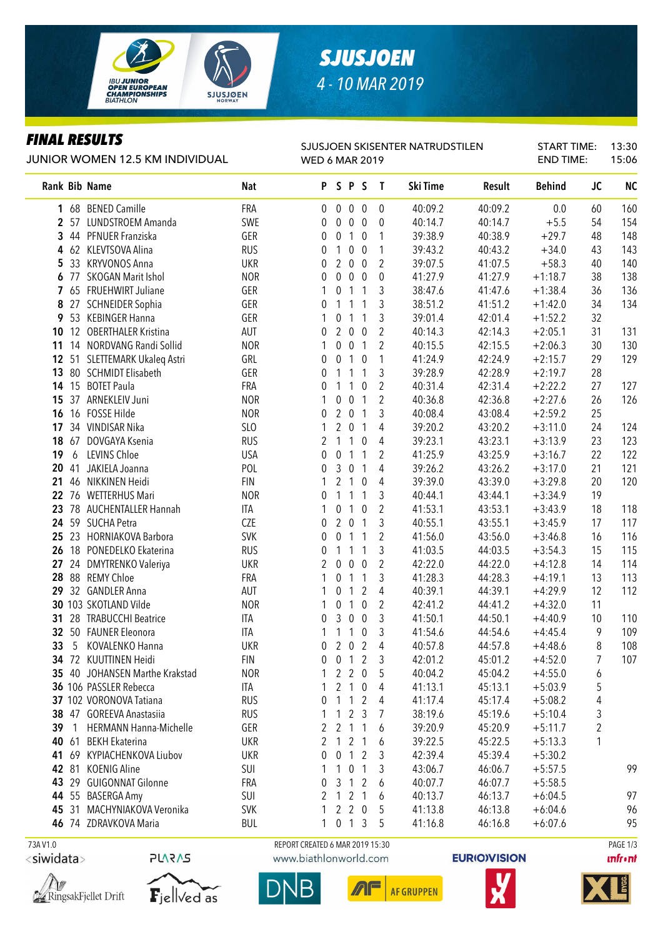

# *SJUSJOEN 4 - 10 MAR 2019*

### *FINAL RESULTS*

L.

#### JUNIOR WOMEN 12.5 KM INDIVIDUAL

| SJUSJOEN SKISENTER NATRUDSTILEN |
|---------------------------------|
| <b>WED 6 MAR 2019</b>           |

START TIME: END TIME: 13:30 15:06

|          |       | Rank Bib Name                  | <b>Nat</b> |                                 |                  | PSPS                |                  | $\mathbf{T}$   | Ski Time | Result  | <b>Behind</b> | <b>JC</b>      | <b>NC</b> |
|----------|-------|--------------------------------|------------|---------------------------------|------------------|---------------------|------------------|----------------|----------|---------|---------------|----------------|-----------|
|          |       | 1 68 BENED Camille             | FRA        | $\mathbf 0$                     | $\overline{0}$   | $\overline{0}$      | $\boldsymbol{0}$ | $\mathbf 0$    | 40:09.2  | 40:09.2 | 0.0           | 60             | 160       |
|          | 2, 57 | LUNDSTROEM Amanda              | SWE        | 0                               | 0                | 0                   | $\bf{0}$         | $\mathbf{0}$   | 40:14.7  | 40:14.7 | $+5.5$        | 54             | 154       |
| 3        | 44    | PFNUER Franziska               | GER        | 0                               | 0                | $\mathbf{1}$        | $\mathbf 0$      | 1              | 39:38.9  | 40:38.9 | $+29.7$       | 48             | 148       |
|          |       | 4 62 KLEVTSOVA Alina           | <b>RUS</b> | 0                               | 1                | $\mathbf 0$         | $\boldsymbol{0}$ | 1              | 39:43.2  | 40:43.2 | $+34.0$       | 43             | 143       |
| 5.       |       | 33 KRYVONOS Anna               | <b>UKR</b> | $\mathbf{0}$                    | $\overline{2}$   | 0                   | 0                | 2              | 39:07.5  | 41:07.5 | $+58.3$       | 40             | 140       |
| 6        | - 77  | <b>SKOGAN Marit Ishol</b>      | <b>NOR</b> | 0                               | 0                | 0                   | 0                | $\theta$       | 41:27.9  | 41:27.9 | $+1:18.7$     | 38             | 138       |
|          |       | 7 65 FRUEHWIRT Juliane         | GER        | 1                               | 0                | $\mathbf{1}$        | $\mathbf{1}$     | 3              | 38:47.6  | 41:47.6 | $+1:38.4$     | 36             | 136       |
| 8        | 27    | <b>SCHNEIDER Sophia</b>        | GER        | 0                               | 1                | 1                   | $\mathbf{1}$     | 3              | 38:51.2  | 41:51.2 | $+1:42.0$     | 34             | 134       |
|          | 9 53  | <b>KEBINGER Hanna</b>          | GER        | 1                               | 0                | $\mathbf{1}$        | $\mathbf{1}$     | 3              | 39:01.4  | 42:01.4 | $+1:52.2$     | 32             |           |
| 10       | 12    | <b>OBERTHALER Kristina</b>     | <b>AUT</b> | 0                               | $\overline{2}$   | $\pmb{0}$           | $\boldsymbol{0}$ | $\overline{2}$ | 40:14.3  | 42:14.3 | $+2:05.1$     | 31             | 131       |
| 11       |       | 14 NORDVANG Randi Sollid       | <b>NOR</b> | 1                               | $\mathbf 0$      | $\pmb{0}$           | $\mathbf{1}$     | $\overline{2}$ | 40:15.5  | 42:15.5 | $+2:06.3$     | 30             | 130       |
| 12       | 51    | SLETTEMARK Ukaleq Astri        | GRL        | 0                               | $\boldsymbol{0}$ | 1                   | $\boldsymbol{0}$ | 1              | 41:24.9  | 42:24.9 | $+2:15.7$     | 29             | 129       |
| 13       |       | 80 SCHMIDT Elisabeth           | GER        | 0                               | 1                | 1                   | $\mathbf{1}$     | 3              | 39:28.9  | 42:28.9 | $+2:19.7$     | 28             |           |
| 14       | 15    | <b>BOTET Paula</b>             | FRA        | 0                               | 1                | 1                   | $\mathbf 0$      | 2              | 40:31.4  | 42:31.4 | $+2:22.2$     | 27             | 127       |
| 15       | 37    | ARNEKLEIV Juni                 | <b>NOR</b> | 1                               | 0                | $\pmb{0}$           | 1                | $\overline{2}$ | 40:36.8  | 42:36.8 | $+2:27.6$     | 26             | 126       |
| 16       | 16    | <b>FOSSE Hilde</b>             | <b>NOR</b> | 0                               | $\overline{2}$   | $\mathbf 0$         | $\mathbf{1}$     | 3              | 40:08.4  | 43:08.4 | $+2:59.2$     | 25             |           |
| 17       |       | 34 VINDISAR Nika               | SLO        | 1                               | $\overline{2}$   | 0                   | $\mathbf{1}$     | 4              | 39:20.2  | 43:20.2 | $+3:11.0$     | 24             | 124       |
| 18       | 67    | DOVGAYA Ksenia                 | <b>RUS</b> | 2                               | $\mathbf{1}$     | $\mathbf{1}$        | $\mathbf 0$      | 4              | 39:23.1  | 43:23.1 | $+3:13.9$     | 23             | 123       |
| 19       | 6     | LEVINS Chloe                   | <b>USA</b> | 0                               | 0                | 1                   | $\mathbf{1}$     | 2              | 41:25.9  | 43:25.9 | $+3:16.7$     | 22             | 122       |
| 20       | 41    | JAKIELA Joanna                 | POL        | 0                               | 3                | 0                   | $\mathbf{1}$     | 4              | 39:26.2  | 43:26.2 | $+3:17.0$     | 21             | 121       |
| 21       | 46    | NIKKINEN Heidi                 | <b>FIN</b> | 1                               | $\overline{2}$   | $\mathbf{1}$        | $\boldsymbol{0}$ | 4              | 39:39.0  | 43:39.0 | $+3:29.8$     | 20             | 120       |
| 22       | 76    | <b>WETTERHUS Mari</b>          | <b>NOR</b> | 0                               | $\mathbf{1}$     | $\mathbf{1}$        | $\mathbf{1}$     | 3              | 40:44.1  | 43:44.1 | $+3:34.9$     | 19             |           |
| 23       |       | 78 AUCHENTALLER Hannah         | ITA        | 1                               | 0                | $\mathbf{1}$        | $\mathbf 0$      | 2              | 41:53.1  | 43:53.1 | $+3:43.9$     | 18             | 118       |
|          |       | 24 59 SUCHA Petra              | <b>CZE</b> | 0                               | $\overline{2}$   | $\mathbf 0$         | $\mathbf{1}$     | 3              | 40:55.1  | 43:55.1 | $+3:45.9$     | 17             | 117       |
|          |       | 25 23 HORNIAKOVA Barbora       | <b>SVK</b> | 0                               | 0                | $\mathbf{1}$        | $\mathbf{1}$     | $\overline{2}$ | 41:56.0  | 43:56.0 | $+3:46.8$     | 16             | 116       |
| 26       |       | 18 PONEDELKO Ekaterina         | <b>RUS</b> | $\mathbf{0}$                    | 1                | 1                   | $\mathbf{1}$     | 3              | 41:03.5  | 44:03.5 | $+3:54.3$     | 15             | 115       |
| 27       | 24    | DMYTRENKO Valeriya             | <b>UKR</b> | 2                               | 0                | $\boldsymbol{0}$    | $\boldsymbol{0}$ | $\overline{2}$ | 42:22.0  | 44:22.0 | $+4:12.8$     | 14             | 114       |
| 28       | 88    | <b>REMY Chloe</b>              | FRA        | 1                               | 0                | $\mathbf{1}$        | $\mathbf{1}$     | 3              | 41:28.3  | 44:28.3 | $+4:19.1$     | 13             | 113       |
| 29       |       | 32 GANDLER Anna                | <b>AUT</b> | 1                               | 0                | $\mathbf{1}$        | $\overline{2}$   | 4              | 40:39.1  | 44:39.1 | $+4:29.9$     | 12             | 112       |
|          |       | 30 103 SKOTLAND Vilde          | <b>NOR</b> | 1                               | 0                | $\mathbf{1}$        | $\pmb{0}$        | 2              | 42:41.2  | 44:41.2 | $+4:32.0$     | 11             |           |
| 31       | 28    | <b>TRABUCCHI Beatrice</b>      | ITA        | 0                               | 3                | $\pmb{0}$           | $\pmb{0}$        | 3              | 41:50.1  | 44:50.1 | $+4:40.9$     | 10             | 110       |
| 32       |       | 50 FAUNER Eleonora             | ITA        | 1                               | 1                | 1                   | $\mathbf 0$      | 3              | 41:54.6  | 44:54.6 | $+4:45.4$     | 9              | 109       |
| 33       | 5     | KOVALENKO Hanna                | <b>UKR</b> | 0                               | $\overline{2}$   | $\mathbf 0$         | $\overline{2}$   | 4              | 40:57.8  | 44:57.8 | $+4:48.6$     | 8              | 108       |
| 34       | 72    | <b>KUUTTINEN Heidi</b>         | <b>FIN</b> | $\mathbf 0$                     | $\mathbf 0$      | $\mathbf{1}$        | $\overline{2}$   | 3              | 42:01.2  | 45:01.2 | $+4:52.0$     | $\overline{7}$ | 107       |
|          |       | 35 40 JOHANSEN Marthe Krakstad | <b>NOR</b> |                                 |                  | 220                 |                  | 5              | 40:04.2  | 45:04.2 | $+4:55.0$     | 6              |           |
|          |       | 36 106 PASSLER Rebecca         | ITA        |                                 | 2                | 1                   | $\overline{0}$   | 4              | 41:13.1  | 45:13.1 | $+5:03.9$     | 5              |           |
|          |       | 37 102 VORONOVA Tatiana        | <b>RUS</b> | 0                               | 1                | 1                   | 2                | 4              | 41:17.4  | 45:17.4 | $+5:08.2$     | 4              |           |
|          |       | 38 47 GOREEVA Anastasiia       | <b>RUS</b> |                                 | $\mathbf{1}$     | $\overline{2}$      | 3                | 7              | 38:19.6  | 45:19.6 | $+5:10.4$     | 3              |           |
| 39       |       | <b>HERMANN Hanna-Michelle</b>  | GER        | 2                               |                  | 2 <sub>1</sub>      | 1                | 6              | 39:20.9  | 45:20.9 | $+5:11.7$     | $\overline{c}$ |           |
| 40       | 61    | <b>BEKH Ekaterina</b>          | <b>UKR</b> | 2                               | $\mathbf{1}$     | 2                   | 1                | 6              | 39:22.5  | 45:22.5 | $+5:13.3$     | 1              |           |
|          |       | 41 69 KYPIACHENKOVA Liubov     | <b>UKR</b> | 0                               | $\overline{0}$   | $\overline{1}$      | 2                | 3              | 42:39.4  | 45:39.4 | $+5:30.2$     |                |           |
|          |       | 42 81 KOENIG Aline             | SUI        |                                 | 1                | $\mathbf 0$         | $\overline{1}$   | 3              | 43:06.7  | 46:06.7 | $+5:57.5$     |                | 99        |
|          |       | 43 29 GUIGONNAT Gilonne        | FRA        | 0                               |                  | 3 1 2               |                  | 6              | 40:07.7  | 46:07.7 | $+5:58.5$     |                |           |
|          |       | 44 55 BASERGA Amy              | SUI        | 2                               |                  | $1 \quad 2 \quad 1$ |                  | 6              | 40:13.7  | 46:13.7 | $+6:04.5$     |                | 97        |
|          |       | 45 31 MACHYNIAKOVA Veronika    | <b>SVK</b> | 1                               |                  | 220                 |                  | 5              | 41:13.8  | 46:13.8 | $+6:04.6$     |                | 96        |
|          |       | 46 74 ZDRAVKOVA Maria          | BUL        | 1                               |                  | $0 \t1 \t3$         |                  | -5             | 41:16.8  | 46:16.8 | $+6:07.6$     |                | 95        |
| 73A V1.0 |       |                                |            | REPORT CREATED 6 MAR 2019 15:30 |                  |                     |                  |                |          |         |               |                | PAGE 1/3  |

<siwidata>

 $\Delta w$ RingsakFjellet Drift





www.biathlonworld.com







 $\mathbf{unfront}$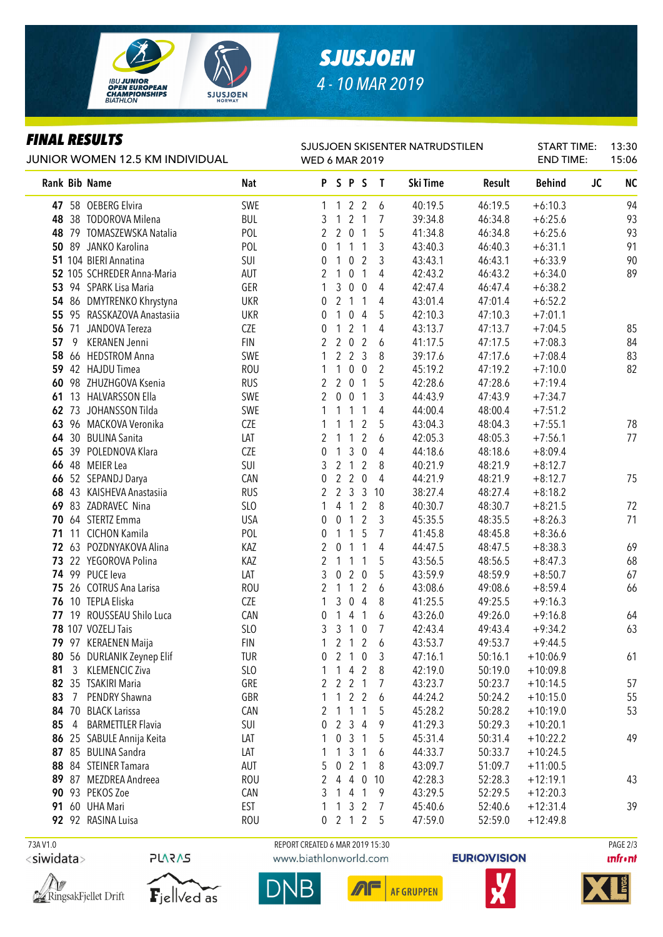

# *SJUSJOEN 4 - 10 MAR 2019*

### *FINAL RESULTS*

| JUNIOR WOMEN 12.5 KM INDIVIDUAL |              | SJUSJOEN SKISENTER NATRUDSTILEN<br><b>WED 6 MAR 2019</b> |                   |                |                     |                     | <b>START TIME:</b><br><b>END TIME:</b> |                |                    |                    |                          |           |           |
|---------------------------------|--------------|----------------------------------------------------------|-------------------|----------------|---------------------|---------------------|----------------------------------------|----------------|--------------------|--------------------|--------------------------|-----------|-----------|
|                                 |              | Rank Bib Name                                            | Nat               |                | PSPS                |                     |                                        | $\mathbf{I}$   | Ski Time           | Result             | <b>Behind</b>            | <b>JC</b> | <b>NC</b> |
|                                 |              | 47 58 OEBERG Elvira                                      | SWE               |                | 1 1 2 2             |                     |                                        | 6              | 40:19.5            | 46:19.5            | $+6:10.3$                |           | 94        |
|                                 |              | 48 38 TODOROVA Milena                                    | <b>BUL</b>        | 3              | $\overline{1}$      | 2 <sub>1</sub>      |                                        | 7              | 39:34.8            | 46:34.8            | $+6:25.6$                |           | 93        |
|                                 |              | 48 79 TOMASZEWSKA Natalia                                | POL               | $\mathbf{2}$   | 2 0 1               |                     |                                        | 5              | 41:34.8            | 46:34.8            | $+6:25.6$                |           | 93        |
|                                 |              | 50 89 JANKO Karolina                                     | POL               | 0              | $1\quad1$           |                     | $\overline{1}$                         | 3              | 43:40.3            | 46:40.3            | $+6:31.1$                |           | 91        |
|                                 |              | 51 104 BIERI Annatina                                    | SUI               | 0              | $\mathbf{1}$        | 0 <sub>2</sub>      |                                        | 3              | 43:43.1            | 46:43.1            | $+6:33.9$                |           | 90        |
|                                 |              | 52 105 SCHREDER Anna-Maria                               | AUT               | 2              | $\mathbf{1}$        | $\overline{0}$      | $\overline{1}$                         | 4              | 42:43.2            | 46:43.2            | $+6:34.0$                |           | 89        |
|                                 |              | 53 94 SPARK Lisa Maria                                   | GER               | 1              | $\mathfrak{Z}$      | $\mathbf 0$         | $\overline{0}$                         | 4              | 42:47.4            | 46:47.4            | $+6:38.2$                |           |           |
|                                 |              | 54 86 DMYTRENKO Khrystyna                                | <b>UKR</b>        | 0              | 2 <sub>1</sub>      |                     | $\mathbf{1}$                           | 4              | 43:01.4            | 47:01.4            | $+6:52.2$                |           |           |
|                                 |              | 55 95 RASSKAZOVA Anastasiia                              | <b>UKR</b>        | 0              | 1                   | $\pmb{0}$           | $\overline{4}$                         | 5              | 42:10.3            | 47:10.3            | $+7:01.1$                |           |           |
|                                 |              | 56 71 JANDOVA Tereza                                     | CZE               | 0              | $\mathbf{1}$        | $\overline{2}$      | $\overline{1}$                         | 4              | 43:13.7            | 47:13.7            | $+7:04.5$                |           | 85        |
| 57                              | -9           | <b>KERANEN Jenni</b>                                     | <b>FIN</b>        | 2              | $\overline{2}$      | $\mathbf 0$         | $\overline{2}$                         | 6              | 41:17.5            | 47:17.5            | $+7:08.3$                |           | 84        |
|                                 |              | 58 66 HEDSTROM Anna                                      | SWE               | 1              | $2^{\circ}$         | 2 <sub>3</sub>      |                                        | 8              | 39:17.6            | 47:17.6            | $+7:08.4$                |           | 83        |
|                                 |              | 59 42 HAJDU Timea                                        | <b>ROU</b>        | 1              | $\mathbf{1}$        | $\overline{0}$      | $\overline{0}$                         | $\overline{2}$ | 45:19.2            | 47:19.2            | $+7:10.0$                |           | 82        |
|                                 |              | 60 98 ZHUZHGOVA Ksenia                                   | <b>RUS</b>        | 2              | $\overline{2}$      | $\overline{0}$      | $\mathbf{1}$                           | 5              | 42:28.6            | 47:28.6            | $+7:19.4$                |           |           |
|                                 |              | 61 13 HALVARSSON Ella                                    | SWE               | $\overline{2}$ | $\mathbf 0$         | $\overline{0}$      | $\overline{1}$                         | 3              | 44:43.9            | 47:43.9            | $+7:34.7$                |           |           |
|                                 |              | 62 73 JOHANSSON Tilda                                    | SWE               |                | 1                   | 1                   | 1                                      | 4              | 44:00.4            | 48:00.4            | $+7:51.2$                |           |           |
|                                 |              | 63 96 MACKOVA Veronika                                   | CZE               |                | 1                   | 1                   | $\overline{2}$                         | 5              | 43:04.3            | 48:04.3            | $+7:55.1$                |           | 78        |
|                                 |              | 64 30 BULINA Sanita                                      | LAT               | 2              | 1                   | $\mathbf{1}$        | $\overline{2}$                         | 6              | 42:05.3            | 48:05.3            | $+7:56.1$                |           | 77        |
|                                 |              | 65 39 POLEDNOVA Klara                                    | <b>CZE</b>        | 0              | 1                   | $\mathfrak{Z}$      | $\mathbf 0$                            | 4              | 44:18.6            | 48:18.6            | $+8:09.4$                |           |           |
|                                 |              | 66 48 MEIER Lea                                          | SUI               | 3              | $\overline{2}$      | $\mathbf{1}$        | $\overline{2}$                         | 8              | 40:21.9            | 48:21.9            | $+8:12.7$                |           |           |
|                                 |              | 66 52 SEPANDJ Darya                                      | CAN               | 0              | $\overline{2}$      | $\overline{2}$      | $\mathbf 0$                            | 4              | 44:21.9            | 48:21.9            | $+8:12.7$                |           | 75        |
|                                 |              | 68 43 KAISHEVA Anastasiia                                | <b>RUS</b>        | 2              | 2 <sub>3</sub>      |                     | $\mathbf{3}$                           | 10             | 38:27.4            | 48:27.4            | $+8:18.2$                |           |           |
|                                 |              | 69 83 ZADRAVEC Nina                                      | <b>SLO</b>        | 1              | 4                   | $\mathbf{1}$        | 2                                      | 8              | 40:30.7            | 48:30.7            | $+8:21.5$                |           | 72        |
|                                 |              | 70 64 STERTZ Emma                                        | <b>USA</b>        | 0              | 0                   | $\mathbf{1}$        | $\overline{2}$                         | 3              | 45:35.5            | 48:35.5            | $+8:26.3$                |           | 71        |
|                                 |              | 71 11 CICHON Kamila                                      | POL               | 0              | 1                   | $\mathbf{1}$        | 5                                      | 7              | 41:45.8            | 48:45.8            | $+8:36.6$                |           |           |
|                                 |              | 72 63 POZDNYAKOVA Alina                                  | KAZ               | 2              | $\mathbf 0$         | $\mathbf{1}$        | $\mathbf{1}$                           | 4              | 44:47.5            | 48:47.5            | $+8:38.3$                |           | 69        |
|                                 |              | 73 22 YEGOROVA Polina                                    | KAZ               | 2              | $\mathbf{1}$        | $\mathbf{1}$        | 1                                      | 5              | 43:56.5            | 48:56.5            | $+8:47.3$                |           | 68        |
|                                 |              | 74 99 PUCE leva                                          | LAT               | 3              | 0                   | $\overline{2}$      | $\mathbf 0$                            | 5              | 43:59.9            | 48:59.9            | $+8:50.7$                |           | 67        |
|                                 |              | 75 26 COTRUS Ana Larisa                                  | <b>ROU</b>        | 2              | 1                   | $\mathbf{1}$        | $\overline{2}$                         | 6              | 43:08.6            | 49:08.6            | $+8:59.4$                |           | 66        |
|                                 |              | 76 10 TEPLA Eliska                                       | CZE               | 1              | 3                   | $\mathbf 0$         | $\overline{4}$                         | 8              | 41:25.5            | 49:25.5            | $+9:16.3$                |           |           |
|                                 |              | 77 19 ROUSSEAU Shilo Luca                                | CAN               | 0              | 14                  |                     | $\mathbf{1}$                           | 6              | 43:26.0            | 49:26.0            | $+9:16.8$                |           | 64        |
|                                 |              | 78 107 VOZELJ Tais                                       | SLO               | 3              | 3 <sub>1</sub>      |                     | $\overline{0}$                         | 7              | 42:43.4            | 49:43.4            | $+9:34.2$                |           | 63        |
|                                 |              | 79 97 KERAENEN Maija                                     | <b>FIN</b>        |                | 2 <sub>1</sub>      |                     |                                        | 1 2 1 2 6      | 43:53.7            | 49:53.7            | $+9:44.5$                |           |           |
| 81                              | $\mathbf{3}$ | 80 56 DURLANIK Zeynep Elif<br><b>KLEMENCIC Ziva</b>      | TUR               | 0<br>1         |                     |                     | $\boldsymbol{0}$<br>$\overline{2}$     | 3              | 47:16.1            | 50:16.1<br>50:19.0 | $+10:06.9$               |           | 61        |
|                                 |              | 82 35 TSAKIRI Maria                                      | <b>SLO</b><br>GRE | 2              | 1<br>$\overline{2}$ | 4<br>$\overline{2}$ | $\overline{1}$                         | 8<br>7         | 42:19.0<br>43:23.7 | 50:23.7            | $+10:09.8$<br>$+10:14.5$ |           | 57        |
| 83                              |              | 7 PENDRY Shawna                                          | GBR               | 1              | 1                   | $\overline{2}$      | $\overline{2}$                         | 6              | 44:24.2            | 50:24.2            | $+10:15.0$               |           | 55        |
|                                 |              | 84 70 BLACK Larissa                                      | CAN               | 2              | 1                   | $\mathbf{1}$        | 1                                      | 5              | 45:28.2            | 50:28.2            | $+10:19.0$               |           | 53        |
| 85                              |              | 4 BARMETTLER Flavia                                      | SUI               | 0              | 2                   | 3                   | 4                                      | 9              | 41:29.3            | 50:29.3            | $+10:20.1$               |           |           |
|                                 |              | 86 25 SABULE Annija Keita                                | LAT               | 1              | $\pmb{0}$           | 3                   | 1                                      | 5              | 45:31.4            | 50:31.4            | $+10:22.2$               |           | 49        |
|                                 |              | 87 85 BULINA Sandra                                      | LAT               | 1              | $\mathbf{1}$        | 3                   | -1                                     | 6              | 44:33.7            | 50:33.7            | $+10:24.5$               |           |           |
|                                 |              | 88 84 STEINER Tamara                                     | AUT               | 5              | $\pmb{0}$           | $\overline{2}$      | $\mathbf{1}$                           | 8              | 43:09.7            | 51:09.7            | $+11:00.5$               |           |           |
|                                 |              | 89 87 MEZDREA Andreea                                    | <b>ROU</b>        | 2              | 4                   | 4                   | $\mathbf 0$                            | 10             | 42:28.3            | 52:28.3            | $+12:19.1$               |           | 43        |
|                                 |              | 90 93 PEKOS Zoe                                          | CAN               | 3              | $\mathbf{1}$        | $\overline{4}$      | $\overline{1}$                         | 9              | 43:29.5            | 52:29.5            | $+12:20.3$               |           |           |
|                                 |              | <b>91 60 UHA Mari</b>                                    | <b>EST</b>        | 1              | $1 \t3 \t2$         |                     |                                        | 7              | 45:40.6            | 52:40.6            | $+12:31.4$               |           | 39        |
|                                 |              | 92 92 RASINA Luisa                                       | ROU               |                |                     |                     |                                        | 0 2 1 2 5      | 47:59.0            | 52:59.0            | $+12:49.8$               |           |           |
|                                 |              |                                                          |                   |                |                     |                     |                                        |                |                    |                    |                          |           |           |

 73A V1.0 REPORT CREATED 6 MAR 2019 15:30 PAGE 2/3<siwidata>







www.biathlonworld.com

 $\sqrt{2}$ AF GRUPPEN





**unfront**